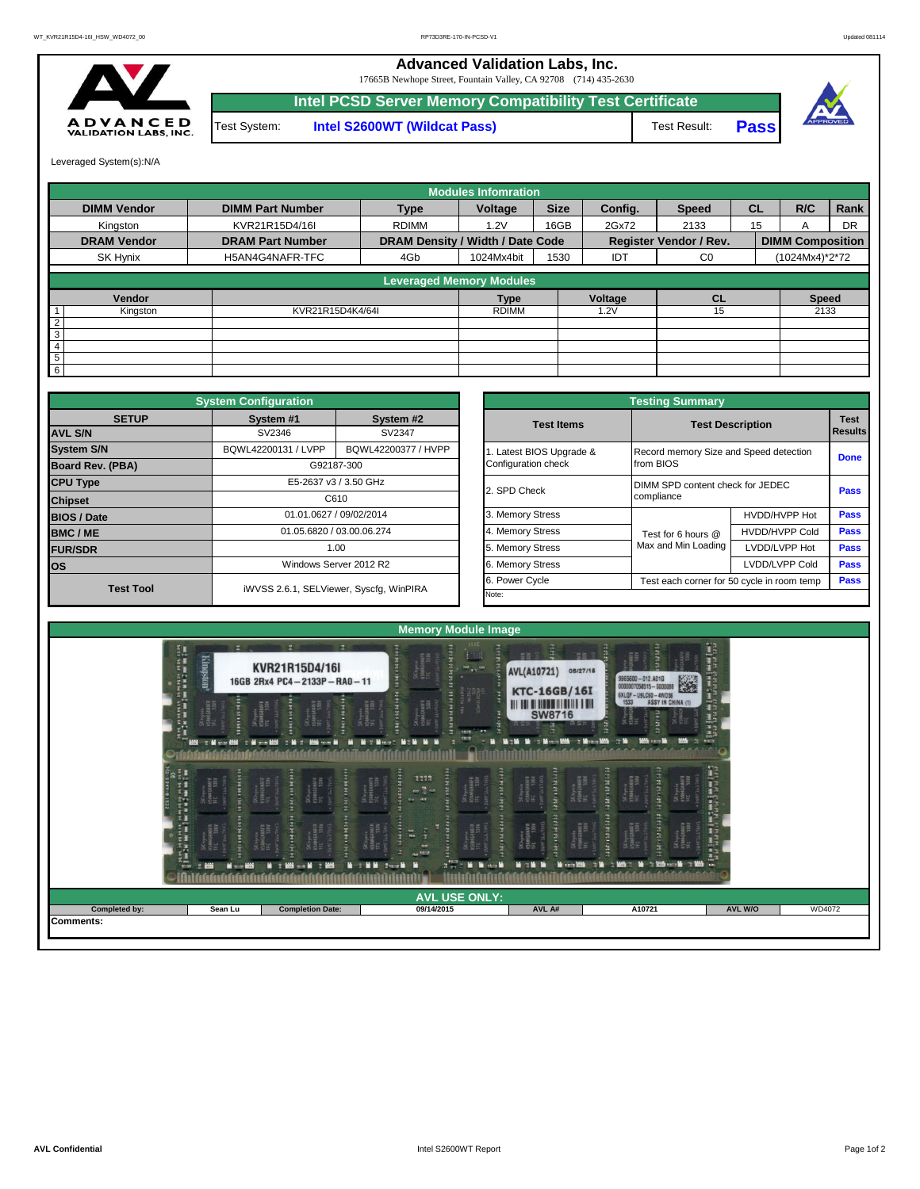## **Advanced Validation Labs, Inc.**

17665B Newhope Street, Fountain Valley, CA 92708 (714) 435-2630



**Intel S2600WT (Wildcat Pass)** Test Result: **Pass Intel PCSD Server Memory Compatibility Test Certificate** Test System:



Leveraged System(s):N/A

|                    |                         |                                  | <b>Modules Infomration</b> |             |            |                               |           |                         |           |  |
|--------------------|-------------------------|----------------------------------|----------------------------|-------------|------------|-------------------------------|-----------|-------------------------|-----------|--|
| <b>DIMM Vendor</b> | <b>DIMM Part Number</b> | <b>Type</b>                      | Voltage                    | <b>Size</b> | Config.    | <b>Speed</b>                  | <b>CL</b> | R/C                     | Rank      |  |
| Kingston           | KVR21R15D4/16I          | <b>RDIMM</b>                     | 1.2V                       | 16GB        | 2Gx72      | 2133                          | 15        | A                       | <b>DR</b> |  |
| <b>DRAM Vendor</b> | <b>DRAM Part Number</b> | DRAM Density / Width / Date Code |                            |             |            | <b>Register Vendor / Rev.</b> |           | <b>DIMM Composition</b> |           |  |
| SK Hynix           | H5AN4G4NAFR-TFC         | 4Gb                              | 1024Mx4bit                 | 1530        | <b>IDT</b> | C <sub>0</sub>                |           | (1024Mx4)*2*72          |           |  |
|                    |                         | <b>Leveraged Memory Modules</b>  |                            |             |            |                               |           |                         |           |  |
| Vendor             |                         |                                  | <b>Type</b>                |             | Voltage    | <b>CL</b>                     |           | <b>Speed</b>            |           |  |
| Kingston           | KVR21R15D4K4/64I        |                                  | <b>RDIMM</b>               | 1.2V        |            |                               |           | 2133                    |           |  |
| $\overline{2}$     |                         |                                  |                            |             |            |                               |           |                         |           |  |
| 3                  |                         |                                  |                            |             |            |                               |           |                         |           |  |
| 4                  |                         |                                  |                            |             |            |                               |           |                         |           |  |
| 5                  |                         |                                  |                            |             |            |                               |           |                         |           |  |
| 6                  |                         |                                  |                            |             |            |                               |           |                         |           |  |

|                                | <b>System Configuration</b> |                                         |  |                                                              | <b>Testing Summary</b>                 |                        |             |  |  |  |  |
|--------------------------------|-----------------------------|-----------------------------------------|--|--------------------------------------------------------------|----------------------------------------|------------------------|-------------|--|--|--|--|
| <b>SETUP</b><br><b>AVL S/N</b> | System #1<br>SV2346         | System #2<br>SV2347                     |  | <b>Test Items</b>                                            | <b>Test Description</b>                | <b>Test</b><br>Results |             |  |  |  |  |
| <b>System S/N</b>              | BQWL42200131 / LVPP         | BQWL42200377 / HVPP                     |  | Latest BIOS Upgrade &                                        | Record memory Size and Speed detection |                        | <b>Done</b> |  |  |  |  |
| <b>Board Rev. (PBA)</b>        |                             | G92187-300                              |  | Configuration check                                          | from BIOS                              |                        |             |  |  |  |  |
| <b>CPU Type</b>                |                             | E5-2637 v3 / 3.50 GHz                   |  | 2. SPD Check                                                 | DIMM SPD content check for JEDEC       |                        |             |  |  |  |  |
| <b>Chipset</b>                 |                             | C610                                    |  |                                                              | compliance                             | Pass                   |             |  |  |  |  |
| <b>BIOS / Date</b>             |                             | 01.01.0627 / 09/02/2014                 |  | 3. Memory Stress                                             |                                        | HVDD/HVPP Hot          | Pass        |  |  |  |  |
| <b>BMC/ME</b>                  |                             | 01.05.6820 / 03.00.06.274               |  | 4. Memory Stress                                             | Test for 6 hours @                     | <b>HVDD/HVPP Cold</b>  | <b>Pass</b> |  |  |  |  |
| <b>FUR/SDR</b>                 | 1.00                        |                                         |  | 5. Memory Stress                                             | Max and Min Loading                    | LVDD/LVPP Hot          | <b>Pass</b> |  |  |  |  |
| lOS.                           |                             | Windows Server 2012 R2                  |  | 6. Memory Stress                                             |                                        | LVDD/LVPP Cold         | <b>Pass</b> |  |  |  |  |
| <b>Test Tool</b>               |                             | iWVSS 2.6.1, SELViewer, Syscfq, WinPIRA |  | 6. Power Cycle<br>Test each corner for 50 cycle in room temp |                                        |                        |             |  |  |  |  |
|                                |                             |                                         |  | Note:                                                        |                                        |                        |             |  |  |  |  |

| <b>Testing Summary</b>                          |                                                     |                               |      |  |  |  |  |  |  |
|-------------------------------------------------|-----------------------------------------------------|-------------------------------|------|--|--|--|--|--|--|
| <b>Test Items</b>                               | <b>Test Description</b>                             | <b>Test</b><br><b>Results</b> |      |  |  |  |  |  |  |
| 1. Latest BIOS Upgrade &<br>Configuration check | Record memory Size and Speed detection<br>from BIOS | <b>Done</b>                   |      |  |  |  |  |  |  |
| 2. SPD Check                                    | DIMM SPD content check for JEDEC<br>compliance      | Pass                          |      |  |  |  |  |  |  |
| 3. Memory Stress                                |                                                     | HVDD/HVPP Hot                 | Pass |  |  |  |  |  |  |
| 4. Memory Stress                                | Test for 6 hours @                                  | <b>HVDD/HVPP Cold</b>         | Pass |  |  |  |  |  |  |
| 5. Memory Stress                                | Max and Min Loading                                 | LVDD/LVPP Hot                 | Pass |  |  |  |  |  |  |
| 6. Memory Stress                                |                                                     | LVDD/LVPP Cold                | Pass |  |  |  |  |  |  |
| 6. Power Cycle                                  | Test each corner for 50 cycle in room temp          | Pass                          |      |  |  |  |  |  |  |
| .                                               |                                                     |                               |      |  |  |  |  |  |  |

|                       |                                        |                                                                                                                                      | <b>Memory Module Image</b>                                                                                                                                                                                                                                 |                                                                                                                                                                                                                   |                                                                                                                                                                                                                                                                                                                          |                                                                                 |        |
|-----------------------|----------------------------------------|--------------------------------------------------------------------------------------------------------------------------------------|------------------------------------------------------------------------------------------------------------------------------------------------------------------------------------------------------------------------------------------------------------|-------------------------------------------------------------------------------------------------------------------------------------------------------------------------------------------------------------------|--------------------------------------------------------------------------------------------------------------------------------------------------------------------------------------------------------------------------------------------------------------------------------------------------------------------------|---------------------------------------------------------------------------------|--------|
| 美式花花花 法某罪的 医异体囊肿<br>震 | <b>ESANGOLINAFI</b><br>TEC 530V<br>unu | 16GB 2Rx4 PC4-2133P-RA0-11<br>н<br>Shop<br>OSMAGINAFA<br>TEC 330V<br>Skinynia<br>Hjámislamári<br>Trc S30V<br><b>GENERA</b><br>111111 | skits<br>bynik<br>1844 Mars<br>Skingman<br>150846400FF<br>нови<br><b>IST</b><br>sam.<br><b>NORTH</b><br><b>Northeast</b><br>midal<br>3333<br><b>Reader</b><br><b>THEFT</b><br>⊃K.hynia<br>MjAN(GiMAF)<br>If£ 110y<br>E<br>$\frac{1}{2}$<br><b>CA FEEDS</b> | 電害 9<br>AVL(A10721) 08/27/16<br><b>KTC-16GB/16I</b><br><b>SW8716</b><br>透 空井<br><b>M19 9 19-10 19 19-10 19</b><br>58. буролж<br>ПУЛМСАНИЕН<br>IFC 5300<br><b>TANA</b><br>F<br>Any and State<br>f<br><b>CONTRA</b> | 9965600-012.A01G<br>0000007058515-S000088<br><b>SXLOF-USLC60-4WD56</b><br>1533 ASSY IN CHINA (1)<br>$\frac{36 \text{hyst}}{164 \text{h}}$<br><b>HARRISON</b><br><b>CERAME</b><br>Staynix<br>HSAMGHAFA<br>TEC SIDI<br>SK hynia<br>II SAMGHINER<br>TEL SIDN<br>august<br>A<br>Chynix<br>AMGHIAFA<br>C 530V<br><b>THEFT</b> | <b>CALL CALL THAT</b><br><b>The Miller</b><br><b>の他には、小さなのでは、この他には、その他にもある。</b> |        |
|                       | <b>M</b> = 100<br>栅                    | M : 665 - M : 865                                                                                                                    | $x^{\prime\prime}$<br><b>Milling</b><br>第二篇第二章 100 篇                                                                                                                                                                                                       | <b>MAN</b><br><b>March 200</b>                                                                                                                                                                                    | <b>March Miller and De College</b><br>20<br>☆撮るこ                                                                                                                                                                                                                                                                         |                                                                                 |        |
| Completed by:         | Sean Lu                                | <b>Completion Date:</b>                                                                                                              | <b>AVL USE ONLY:</b><br>09/14/2015                                                                                                                                                                                                                         | AVL A#                                                                                                                                                                                                            | A10721                                                                                                                                                                                                                                                                                                                   | AVL W/O                                                                         | WD4072 |
| <b>Comments:</b>      |                                        |                                                                                                                                      |                                                                                                                                                                                                                                                            |                                                                                                                                                                                                                   |                                                                                                                                                                                                                                                                                                                          |                                                                                 |        |
|                       |                                        |                                                                                                                                      |                                                                                                                                                                                                                                                            |                                                                                                                                                                                                                   |                                                                                                                                                                                                                                                                                                                          |                                                                                 |        |